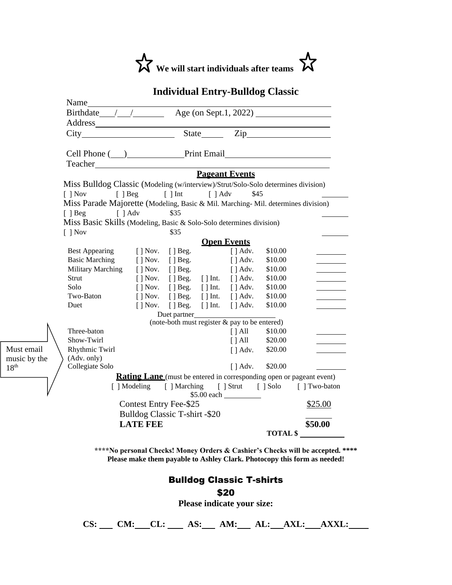

|                                                                                   |                                                            |                                                                                                  |                                                       | <b>Individual Entry-Bulldog Classic</b>         |         |                                                                             |
|-----------------------------------------------------------------------------------|------------------------------------------------------------|--------------------------------------------------------------------------------------------------|-------------------------------------------------------|-------------------------------------------------|---------|-----------------------------------------------------------------------------|
| Name                                                                              |                                                            |                                                                                                  |                                                       |                                                 |         |                                                                             |
| Birthdate $\angle$ $\angle$ $\angle$ Age (on Sept.1, 2022)                        |                                                            |                                                                                                  |                                                       |                                                 |         |                                                                             |
|                                                                                   |                                                            |                                                                                                  |                                                       |                                                 |         |                                                                             |
|                                                                                   |                                                            |                                                                                                  |                                                       |                                                 |         |                                                                             |
|                                                                                   |                                                            |                                                                                                  |                                                       |                                                 |         |                                                                             |
| Cell Phone ( <u>)</u> Print Email                                                 |                                                            |                                                                                                  |                                                       |                                                 |         |                                                                             |
| <b>Teacher Exercise 2018</b>                                                      |                                                            |                                                                                                  |                                                       |                                                 |         |                                                                             |
|                                                                                   |                                                            |                                                                                                  |                                                       | <b>Pageant Events</b>                           |         |                                                                             |
| Miss Bulldog Classic (Modeling (w/interview)/Strut/Solo-Solo determines division) |                                                            |                                                                                                  |                                                       |                                                 |         |                                                                             |
| $\lceil$ $\rceil$ Nov                                                             | $\lceil \int \text{Beg} \rceil$ $\lceil \text{Int} \rceil$ |                                                                                                  | $\lceil \; \rceil$ Adv                                | \$45                                            |         |                                                                             |
| Miss Parade Majorette (Modeling, Basic & Mil. Marching-Mil. determines division)  |                                                            |                                                                                                  |                                                       |                                                 |         |                                                                             |
| $\int$ $\int$ Adv<br>$\lceil \ \rceil$ Beg                                        |                                                            | \$35                                                                                             |                                                       |                                                 |         |                                                                             |
| Miss Basic Skills (Modeling, Basic & Solo-Solo determines division)               |                                                            |                                                                                                  |                                                       |                                                 |         |                                                                             |
| $\lceil \; \rceil$ Nov                                                            |                                                            | \$35                                                                                             |                                                       |                                                 |         |                                                                             |
| <b>Open Events</b>                                                                |                                                            |                                                                                                  |                                                       |                                                 |         |                                                                             |
| <b>Best Appearing</b>                                                             | [ ] Nov.                                                   | $[ ]$ Beg.                                                                                       |                                                       | $\lceil \cdot \rceil$ Adv.                      | \$10.00 |                                                                             |
| <b>Basic Marching</b>                                                             | $\lceil \cdot \rceil$ Nov.                                 | $[$   Beg.                                                                                       |                                                       | $\lceil \cdot \rceil$ Adv.                      | \$10.00 |                                                                             |
| <b>Military Marching</b>                                                          | $[$ ] Nov.                                                 | $[$ ] Beg.                                                                                       |                                                       | $[$ ] Adv.                                      | \$10.00 |                                                                             |
| Strut                                                                             | $\lceil \cdot \rceil$ Nov.                                 |                                                                                                  | $\lceil \cdot \rceil$ Beg. $\lceil \cdot \rceil$ Int. | $\left[\right]$ Adv.                            | \$10.00 |                                                                             |
| Solo                                                                              | $\lceil \cdot \rceil$ Nov.                                 |                                                                                                  | $\lceil \cdot \rceil$ Beg. $\lceil \cdot \rceil$ Int. | $\lceil \cdot \rceil$ Adv.                      | \$10.00 |                                                                             |
| Two-Baton                                                                         | $\lceil \cdot \rceil$ Nov.                                 |                                                                                                  | $\lceil \cdot \rceil$ Beg. $\lceil \cdot \rceil$ Int. | $\lceil \cdot \rceil$ Adv.                      | \$10.00 |                                                                             |
| Duet                                                                              |                                                            | $\lceil \cdot \rceil$ Nov. $\lceil \cdot \rceil$ Beg. $\lceil \cdot \rceil$ Int.<br>Duet partner |                                                       | $\lceil$ $\rceil$ Adv.                          | \$10.00 |                                                                             |
|                                                                                   |                                                            |                                                                                                  |                                                       | (note-both must register $&$ pay to be entered) |         |                                                                             |
| Three-baton                                                                       |                                                            |                                                                                                  |                                                       | $\lceil$   All                                  | \$10.00 |                                                                             |
| Show-Twirl                                                                        |                                                            |                                                                                                  |                                                       | $[$ $]$ All                                     | \$20.00 |                                                                             |
| Rhythmic Twirl                                                                    |                                                            |                                                                                                  |                                                       | $[$ ] Adv.                                      | \$20.00 |                                                                             |
| (Adv. only)                                                                       |                                                            |                                                                                                  |                                                       |                                                 |         |                                                                             |
| Collegiate Solo                                                                   |                                                            |                                                                                                  |                                                       | $[$   Adv. \$20.00                              |         |                                                                             |
|                                                                                   |                                                            |                                                                                                  |                                                       |                                                 |         | <b>Rating Lane</b> (must be entered in corresponding open or pageant event) |
|                                                                                   |                                                            |                                                                                                  |                                                       |                                                 |         | [] Modeling [] Marching [] Strut [] Solo [] Two-baton                       |
| Contest Entry Fee-\$25                                                            |                                                            |                                                                                                  |                                                       |                                                 |         | \$25.00                                                                     |
| Bulldog Classic T-shirt -\$20                                                     |                                                            |                                                                                                  |                                                       |                                                 |         |                                                                             |
|                                                                                   | <b>LATE FEE</b>                                            |                                                                                                  |                                                       |                                                 |         | \$50.00                                                                     |
|                                                                                   |                                                            |                                                                                                  |                                                       |                                                 |         | TOTAL \$                                                                    |

Must email music by the

 $18<sup>th</sup>$ 

**\*\*\*\*No personal Checks! Money Orders & Cashier's Checks will be accepted. \*\*\*\* Please make them payable to Ashley Clark. Photocopy this form as needed!**

## Bulldog Classic T-shirts \$20

**Please indicate your size:**

**CS: CM: CL: AS: AM: AL: AXL: AXXL:**